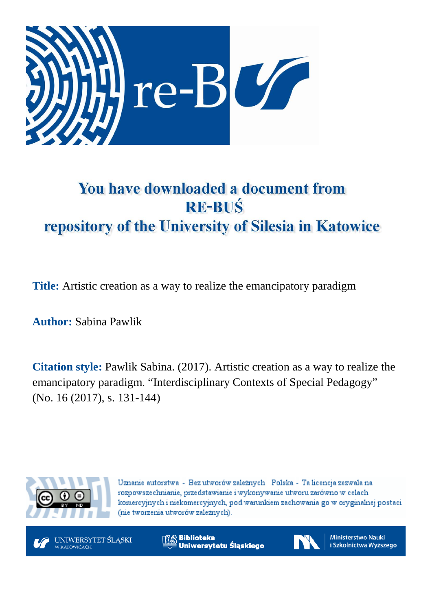

# You have downloaded a document from **RE-BUŚ** repository of the University of Silesia in Katowice

**Title:** Artistic creation as a way to realize the emancipatory paradigm

**Author:** Sabina Pawlik

**Citation style:** Pawlik Sabina. (2017). Artistic creation as a way to realize the emancipatory paradigm. "Interdisciplinary Contexts of Special Pedagogy" (No. 16 (2017), s. 131-144)



Uznanie autorstwa - Bez utworów zależnych Polska - Ta licencja zezwala na rozpowszechnianie, przedstawianie i wykonywanie utworu zarówno w celach komercyjnych i niekomercyjnych, pod warunkiem zachowania go w oryginalnej postaci (nie tworzenia utworów zależnych).



UNIWERSYTET ŚLĄSKI

**Biblioteka** Uniwersytetu Śląskiego



**Ministerstwo Nauki** i Szkolnictwa Wyższego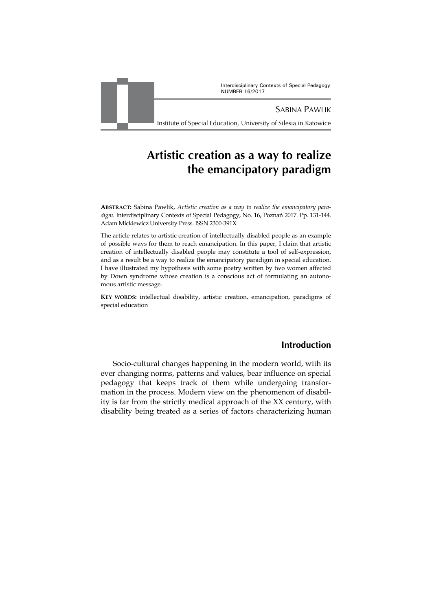Interdisciplinary Contexts of Special Pedagogy NUMBER 16/2017



SABINA PAWLIK

Institute of Special Education, University of Silesia in Katowice

# **Artistic creation as a way to realize the emancipatory paradigm**

**ABSTRACT:** Sabina Pawlik, *Artistic creation as a way to realize the emancipatory paradigm*. Interdisciplinary Contexts of Special Pedagogy, No. 16, Poznań 2017. Pp. 131-144. Adam Mickiewicz University Press. ISSN 2300-391X

The article relates to artistic creation of intellectually disabled people as an example of possible ways for them to reach emancipation. In this paper, I claim that artistic creation of intellectually disabled people may constitute a tool of self-expression, and as a result be a way to realize the emancipatory paradigm in special education. I have illustrated my hypothesis with some poetry written by two women affected by Down syndrome whose creation is a conscious act of formulating an autonomous artistic message.

**KEY WORDS:** intellectual disability, artistic creation, emancipation, paradigms of special education

# **Introduction**

Socio-cultural changes happening in the modern world, with its ever changing norms, patterns and values, bear influence on special pedagogy that keeps track of them while undergoing transformation in the process. Modern view on the phenomenon of disability is far from the strictly medical approach of the XX century, with disability being treated as a series of factors characterizing human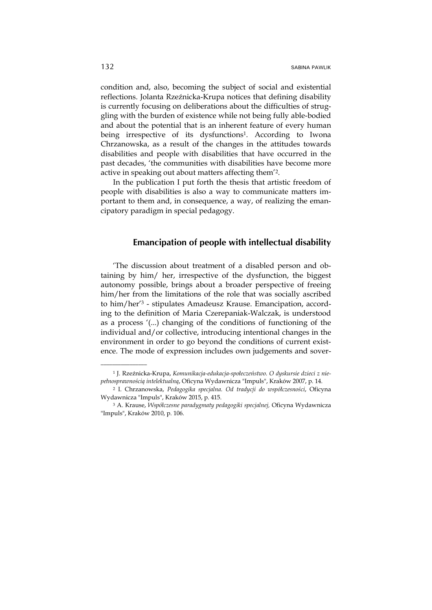condition and, also, becoming the subject of social and existential reflections. Jolanta Rzeźnicka-Krupa notices that defining disability is currently focusing on deliberations about the difficulties of struggling with the burden of existence while not being fully able-bodied and about the potential that is an inherent feature of every human being irrespective of its dysfunctions<sup>1</sup>. According to Iwona Chrzanowska, as a result of the changes in the attitudes towards disabilities and people with disabilities that have occurred in the past decades, 'the communities with disabilities have become more active in speaking out about matters affecting them'2.

In the publication I put forth the thesis that artistic freedom of people with disabilities is also a way to communicate matters important to them and, in consequence, a way, of realizing the emancipatory paradigm in special pedagogy.

#### **Emancipation of people with intellectual disability**

'The discussion about treatment of a disabled person and obtaining by him/ her, irrespective of the dysfunction, the biggest autonomy possible, brings about a broader perspective of freeing him/her from the limitations of the role that was socially ascribed to him/her'3 - stipulates Amadeusz Krause. Emancipation, according to the definition of Maria Czerepaniak-Walczak, is understood as a process '(...) changing of the conditions of functioning of the individual and/or collective, introducing intentional changes in the environment in order to go beyond the conditions of current existence. The mode of expression includes own judgements and sover-

<sup>1</sup> J. Rzeźnicka-Krupa, *Komunikacja-edukacja-społeczeństwo. O dyskursie dzieci z niepełnosprawnością intelektualną*, Oficyna Wydawnicza "Impuls", Kraków 2007, p. 14.

<sup>2</sup> I. Chrzanowska, *Pedagogika specjalna. Od tradycji do współczesności*, Oficyna Wydawnicza "Impuls", Kraków 2015, p. 415.

<sup>3</sup> A. Krause, *Współczesne paradygmaty pedagogiki specjalnej,* Oficyna Wydawnicza "Impuls", Kraków 2010, p. 106.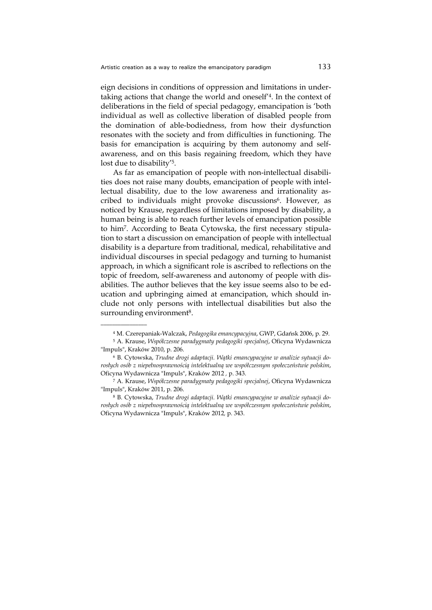eign decisions in conditions of oppression and limitations in undertaking actions that change the world and oneself'4. In the context of deliberations in the field of special pedagogy, emancipation is 'both individual as well as collective liberation of disabled people from the domination of able-bodiedness, from how their dysfunction resonates with the society and from difficulties in functioning. The basis for emancipation is acquiring by them autonomy and selfawareness, and on this basis regaining freedom, which they have lost due to disability'5.

As far as emancipation of people with non-intellectual disabilities does not raise many doubts, emancipation of people with intellectual disability, due to the low awareness and irrationality ascribed to individuals might provoke discussions<sup>6</sup>. However, as noticed by Krause, regardless of limitations imposed by disability, a human being is able to reach further levels of emancipation possible to him7. According to Beata Cytowska, the first necessary stipulation to start a discussion on emancipation of people with intellectual disability is a departure from traditional, medical, rehabilitative and individual discourses in special pedagogy and turning to humanist approach, in which a significant role is ascribed to reflections on the topic of freedom, self-awareness and autonomy of people with disabilities. The author believes that the key issue seems also to be education and upbringing aimed at emancipation, which should include not only persons with intellectual disabilities but also the surrounding environment<sup>8</sup>.

<sup>4</sup> M. Czerepaniak-Walczak, *Pedagogika emancypacyjna*, GWP, Gdańsk 2006, p. 29.

<sup>5</sup> A. Krause, *Współczesne paradygmaty pedagogiki specjalnej*, Oficyna Wydawnicza "Impuls", Kraków 2010, p. 206.

<sup>6</sup> B. Cytowska, *Trudne drogi adaptacji. Wątki emancypacyjne w analizie sytuacji dorosłych osób z niepełnosprawnością intelektualną we współczesnym społeczeństwie polskim*, Oficyna Wydawnicza "Impuls", Kraków 2012 *,* p. 343.

<sup>7</sup> A. Krause, *Współczesne paradygmaty pedagogiki specjalnej*, Oficyna Wydawnicza "Impuls", Kraków 2011, p. 206.

<sup>8</sup> B. Cytowska, *Trudne drogi adaptacji. Wątki emancypacyjne w analizie sytuacji dorosłych osób z niepełnosprawnością intelektualną we współczesnym społeczeństwie polskim*, Oficyna Wydawnicza "Impuls", Kraków 2012*,* p. 343.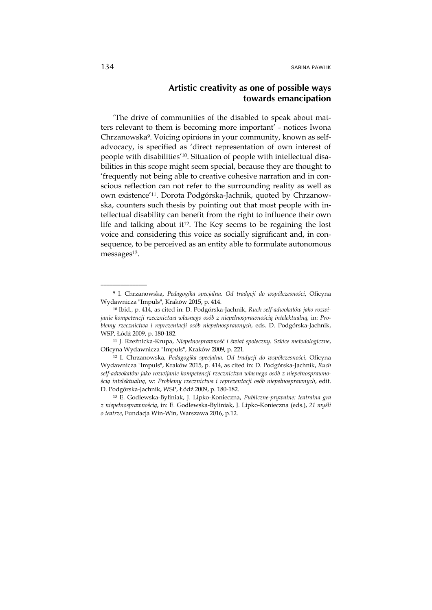# **Artistic creativity as one of possible ways towards emancipation**

'The drive of communities of the disabled to speak about matters relevant to them is becoming more important' - notices Iwona Chrzanowska9. Voicing opinions in your community, known as selfadvocacy, is specified as 'direct representation of own interest of people with disabilities'10. Situation of people with intellectual disabilities in this scope might seem special, because they are thought to 'frequently not being able to creative cohesive narration and in conscious reflection can not refer to the surrounding reality as well as own existence'11. Dorota Podgórska-Jachnik, quoted by Chrzanowska, counters such thesis by pointing out that most people with intellectual disability can benefit from the right to influence their own life and talking about it<sup>12</sup>. The Key seems to be regaining the lost voice and considering this voice as socially significant and, in consequence, to be perceived as an entity able to formulate autonomous messages<sup>13</sup>.

<sup>9</sup> I. Chrzanowska, *Pedagogika specjalna. Od tradycji do współczesności*, Oficyna Wydawnicza "Impuls", Kraków 2015, p. 414.

<sup>10</sup> Ibid., p. 414, as cited in: D. Podgórska-Jachnik, *Ruch self-adwokatów jako rozwijanie kompetencji rzecznictwa własnego osób z niepełnosprawnością intelektualną,* in: *Problemy rzecznictwa i reprezentacji osób niepełnosprawnych*, eds. D. Podgórska-Jachnik, WSP, Łódź 2009, p. 180-182.

<sup>11</sup> J. Rzeźnicka-Krupa, *Niepełnosprawność i świat społeczny. Szkice metodologiczne*, Oficyna Wydawnicza "Impuls", Kraków 2009, p. 221.

<sup>12</sup> I. Chrzanowska, *Pedagogika specjalna. Od tradycji do współczesności*, Oficyna Wydawnicza "Impuls", Kraków 2015, p. 414, as cited in: D. Podgórska-Jachnik, *Ruch self-adwokatów jako rozwijanie kompetencji rzecznictwa własnego osób z niepełnosprawnością intelektualną*, w: *Problemy rzecznictwa i reprezentacji osób niepełnosprawnych*, edit. D. Podgórska-Jachnik, WSP, Łódź 2009, p. 180-182.

<sup>13</sup> E. Godlewska-Byliniak, J. Lipko-Konieczna, *Publiczne-prywatne: teatralna gra z niepełnosprawnością*, in: E. Godlewska-Byliniak, J. Lipko-Konieczna (eds.), *21 myśli o teatrze*, Fundacja Win-Win, Warszawa 2016, p.12.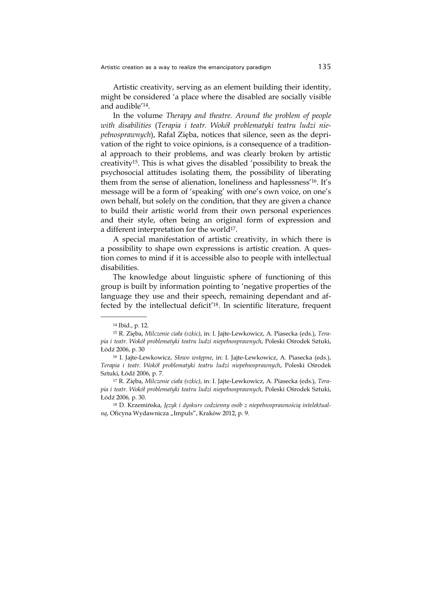Artistic creativity, serving as an element building their identity, might be considered 'a place where the disabled are socially visible and audible'14.

In the volume *Therapy and theatre. Around the problem of people with disabilities* (*Terapia i teatr. Wokół problematyki teatru ludzi niepełnosprawnych*), Rafal Zięba, notices that silence, seen as the deprivation of the right to voice opinions, is a consequence of a traditional approach to their problems, and was clearly broken by artistic creativity15. This is what gives the disabled 'possibility to break the psychosocial attitudes isolating them, the possibility of liberating them from the sense of alienation, loneliness and haplessness'16. It's message will be a form of 'speaking' with one's own voice, on one's own behalf, but solely on the condition, that they are given a chance to build their artistic world from their own personal experiences and their style, often being an original form of expression and a different interpretation for the world<sup>17</sup>.

A special manifestation of artistic creativity, in which there is a possibility to shape own expressions is artistic creation. A question comes to mind if it is accessible also to people with intellectual disabilities.

The knowledge about linguistic sphere of functioning of this group is built by information pointing to 'negative properties of the language they use and their speech, remaining dependant and affected by the intellectual deficit'18. In scientific literature, frequent

<sup>14</sup> Ibid., p. 12.

<sup>15</sup> R. Zięba, *Milczenie ciała (szkic)*, in: I. Jajte-Lewkowicz, A. Piasecka (eds.), *Terapia i teatr. Wokół problematyki teatru ludzi niepełnosprawnych*, Poleski Ośrodek Sztuki, Łódź 2006, p. 30

<sup>16</sup> I. Jajte-Lewkowicz, *Słowo wstępne*, in: I. Jajte-Lewkowicz, A. Piasecka (eds.), *Terapia i teatr. Wokół problematyki teatru ludzi niepełnosprawnych*, Poleski Ośrodek Sztuki, Łódź 2006, p. 7.

<sup>17</sup> R. Zięba, *Milczenie ciała (szkic)*, in: I. Jajte-Lewkowicz, A. Piasecka (eds.), *Terapia i teatr. Wokół problematyki teatru ludzi niepełnosprawnych*, Poleski Ośrodek Sztuki, Łódź 2006*,* p. 30.

<sup>18</sup> D. Krzemińska, *Język i dyskurs codzienny osób z niepełnosprawnością intelektualną*, Oficyna Wydawnicza "Impuls", Kraków 2012, p. 9.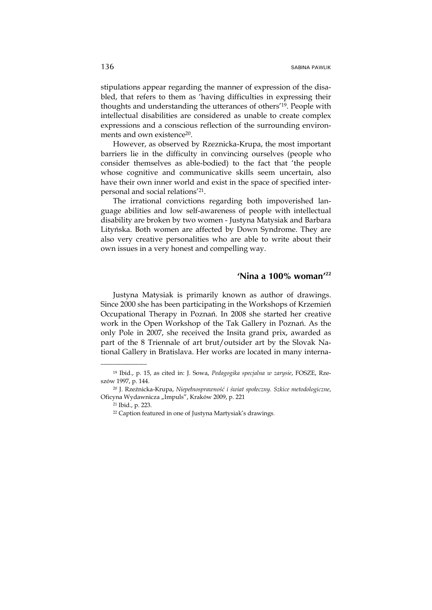stipulations appear regarding the manner of expression of the disabled, that refers to them as 'having difficulties in expressing their thoughts and understanding the utterances of others'19. People with intellectual disabilities are considered as unable to create complex expressions and a conscious reflection of the surrounding environments and own existence20.

However, as observed by Rzeznicka-Krupa, the most important barriers lie in the difficulty in convincing ourselves (people who consider themselves as able-bodied) to the fact that 'the people whose cognitive and communicative skills seem uncertain, also have their own inner world and exist in the space of specified interpersonal and social relations'21.

The irrational convictions regarding both impoverished language abilities and low self-awareness of people with intellectual disability are broken by two women - Justyna Matysiak and Barbara Lityńska. Both women are affected by Down Syndrome. They are also very creative personalities who are able to write about their own issues in a very honest and compelling way.

#### **'Nina a 100% woman'22**

Justyna Matysiak is primarily known as author of drawings. Since 2000 she has been participating in the Workshops of Krzemień Occupational Therapy in Poznań. In 2008 she started her creative work in the Open Workshop of the Tak Gallery in Poznań. As the only Pole in 2007, she received the Insita grand prix, awarded as part of the 8 Triennale of art brut/outsider art by the Slovak National Gallery in Bratislava. Her works are located in many interna-

<sup>19</sup> Ibid., p. 15, as cited in: J. Sowa, *Pedagogika specjalna w zarysie*, FOSZE, Rzeszów 1997, p. 144.

<sup>20</sup> J. Rzeźnicka-Krupa, *Niepełnosprawność i świat społeczny. Szkice metodologiczne*, Oficyna Wydawnicza "Impuls", Kraków 2009, p. 221

<sup>21</sup> Ibid., p. 223.

<sup>22</sup> Caption featured in one of Justyna Martysiak's drawings.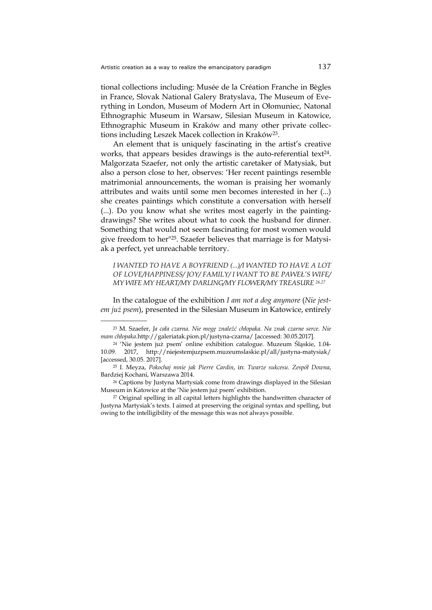tional collections including: Musée de la Création Franche in Bègles in France, Slovak National Galery Bratyslava, The Museum of Everything in London, Museum of Modern Art in Ołomuniec, Natonal Ethnographic Museum in Warsaw, Silesian Museum in Katowice, Ethnographic Museum in Kraków and many other private collections including Leszek Macek collection in Kraków<sup>23</sup>.

An element that is uniquely fascinating in the artist's creative works, that appears besides drawings is the auto-referential text<sup>24</sup>. Malgorzata Szaefer, not only the artistic caretaker of Matysiak, but also a person close to her, observes: 'Her recent paintings resemble matrimonial announcements, the woman is praising her womanly attributes and waits until some men becomes interested in her (...) she creates paintings which constitute a conversation with herself (...). Do you know what she writes most eagerly in the paintingdrawings? She writes about what to cook the husband for dinner. Something that would not seem fascinating for most women would give freedom to her"25. Szaefer believes that marriage is for Matysiak a perfect, yet unreachable territory.

*I WANTED TO HAVE A BOYFRIEND (...)/I WANTED TO HAVE A LOT OF LOVE/HAPPINESS/ JOY/ FAMILY/ I WANT TO BE PAWEŁ'S WIFE/ MY WIFE MY HEART/MY DARLING/MY FLOWER/MY TREASURE 26,27*

In the catalogue of the exhibition *I am not a dog anymore* (*Nie jestem już psem*), presented in the Silesian Museum in Katowice, entirely

<sup>23</sup> M. Szaefer, *Ja cała czarna. Nie mogę znaleźć chłopaka. Na znak czarne serce. Nie mam chłopaka.*http://galeriatak.pion.pl/justyna-czarna/ [accessed: 30.05.2017].

<sup>24 &#</sup>x27;Nie jestem już psem' online exhibition catalogue. Muzeum Śląskie, 1.04- 10.09. 2017, http://niejestemjuzpsem.muzeumslaskie.pl/all/justyna-matysiak/ [accessed, 30.05. 2017].

<sup>25</sup> I. Meyza, *Pokochaj mnie jak Pierre Cardin*, in: *Twarze sukcesu. Zespół Downa*, Bardziej Kochani, Warszawa 2014.

<sup>26</sup> Captions by Justyna Martysiak come from drawings displayed in the Silesian Museum in Katowice at the 'Nie jestem już psem' exhibition.

<sup>27</sup> Original spelling in all capital letters highlights the handwritten character of Justyna Martysiak's texts. I aimed at preserving the original syntax and spelling, but owing to the intelligibility of the message this was not always possible.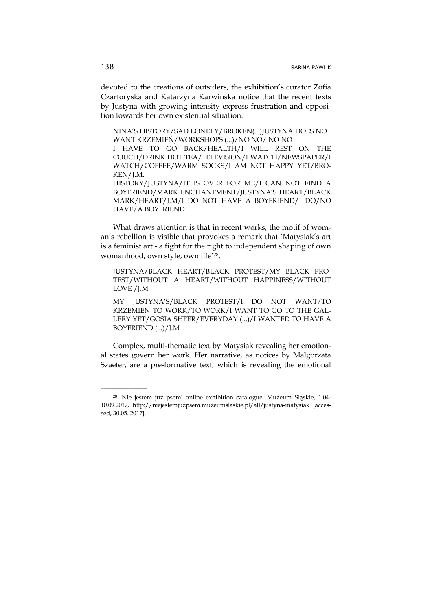devoted to the creations of outsiders, the exhibition's curator Zofia Czartoryska and Katarzyna Karwinska notice that the recent texts by Justyna with growing intensity express frustration and opposition towards her own existential situation.

NINA'S HISTORY/SAD LONELY/BROKEN(...)JUSTYNA DOES NOT WANT KRZEMIEŃ/WORKSHOPS (...)/NO NO/ NO NO I HAVE TO GO BACK/HEALTH/I WILL REST ON THE COUCH/DRINK HOT TEA/TELEVISION/I WATCH/NEWSPAPER/I WATCH/COFFEE/WARM SOCKS/I AM NOT HAPPY YET/BRO-KEN/J.M. HISTORY/JUSTYNA/IT IS OVER FOR ME/I CAN NOT FIND A BOYFRIEND/MARK ENCHANTMENT/JUSTYNA'S HEART/BLACK MARK/HEART/J.M/I DO NOT HAVE A BOYFRIEND/I DO/NO HAVE/A BOYFRIEND

What draws attention is that in recent works, the motif of woman's rebellion is visible that provokes a remark that 'Matysiak's art is a feminist art - a fight for the right to independent shaping of own womanhood, own style, own life'28.

JUSTYNA/BLACK HEART/BLACK PROTEST/MY BLACK PRO-TEST/WITHOUT A HEART/WITHOUT HAPPINESS/WITHOUT LOVE /J.M

MY JUSTYNA'S/BLACK PROTEST/I DO NOT WANT/TO KRZEMIEN TO WORK/TO WORK/I WANT TO GO TO THE GAL-LERY YET/GOSIA SHFER/EVERYDAY (...)/I WANTED TO HAVE A BOYFRIEND (...)/J.M

Complex, multi-thematic text by Matysiak revealing her emotional states govern her work. Her narrative, as notices by Małgorzata Szaefer, are a pre-formative text, which is revealing the emotional

<sup>28 &#</sup>x27;Nie jestem już psem' online exhibition catalogue. Muzeum Śląskie, 1.04- 10.09.2017, http://niejestemjuzpsem.muzeumslaskie.pl/all/justyna-matysiak [accessed, 30.05. 2017].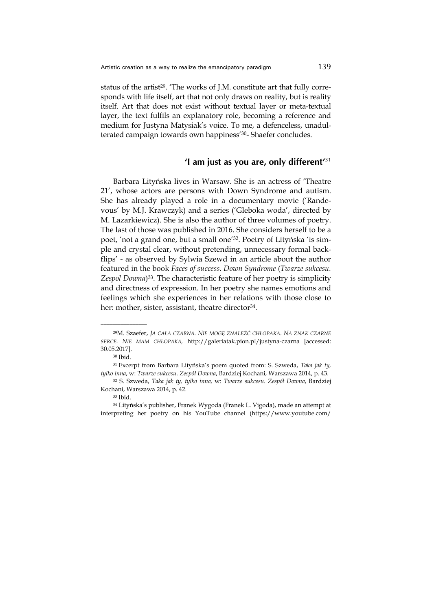status of the artist<sup>29</sup>. 'The works of J.M. constitute art that fully corresponds with life itself, art that not only draws on reality, but is reality itself. Art that does not exist without textual layer or meta-textual layer, the text fulfils an explanatory role, becoming a reference and medium for Justyna Matysiak's voice. To me, a defenceless, unadulterated campaign towards own happiness'30- Shaefer concludes.

#### **'I am just as you are, only different'**<sup>31</sup>

Barbara Lityńska lives in Warsaw. She is an actress of 'Theatre 21', whose actors are persons with Down Syndrome and autism. She has already played a role in a documentary movie ('Randevous' by M.J. Krawczyk) and a series ('Gleboka woda', directed by M. Lazarkiewicz). She is also the author of three volumes of poetry. The last of those was published in 2016. She considers herself to be a poet, 'not a grand one, but a small one'32. Poetry of Lityńska 'is simple and crystal clear, without pretending, unnecessary formal backflips' - as observed by Sylwia Szewd in an article about the author featured in the book *Faces of success. Down Syndrome* (*Twarze sukcesu. Zespol Downa*)33. The characteristic feature of her poetry is simplicity and directness of expression. In her poetry she names emotions and feelings which she experiences in her relations with those close to her: mother, sister, assistant, theatre director<sup>34</sup>.

<sup>29</sup>M. Szaefer, *JA CAŁA CZARNA. NIE MOGĘ ZNALEŹĆ CHŁOPAKA. NA ZNAK CZARNE SERCE. NIE MAM CHŁOPAKA,* http://galeriatak.pion.pl/justyna-czarna [accessed: 30.05.2017].

<sup>30</sup> Ibid.

<sup>31</sup> Excerpt from Barbara Lityńska's poem quoted from: S. Szweda, *Taka jak ty, tylko inna*, w: *Twarze sukcesu. Zespół Downa*, Bardziej Kochani, Warszawa 2014, p. 43.

<sup>32</sup> S. Szweda, *Taka jak ty, tylko inna,* w: *Twarze sukcesu. Zespół Downa*, Bardziej Kochani, Warszawa 2014, p. 42.

<sup>33</sup> Ibid.

<sup>34</sup> Lityńska's publisher, Franek Wygoda (Franek L. Vigoda), made an attempt at interpreting her poetry on his YouTube channel (https://www.youtube.com/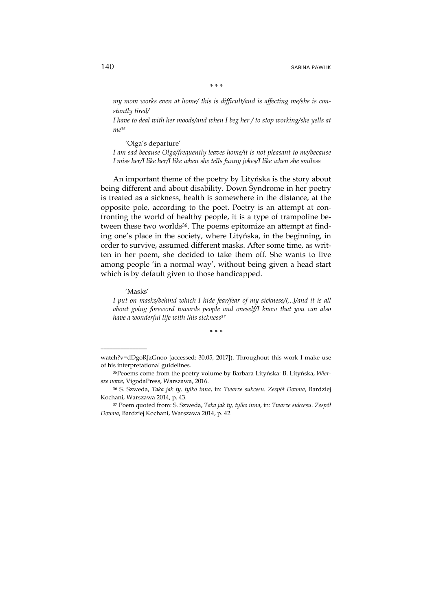*\* \* \** 

*my mom works even at home/ this is difficult/and is affecting me/she is constantly tired/* 

*I have to deal with her moods/and when I beg her / to stop working/she yells at me35*

'Olga's departure' *I am sad because Olga/frequently leaves home/it is not pleasant to me/because I miss her/I like her/I like when she tells funny jokes/I like when she smiless* 

An important theme of the poetry by Lityńska is the story about being different and about disability. Down Syndrome in her poetry is treated as a sickness, health is somewhere in the distance, at the opposite pole, according to the poet. Poetry is an attempt at confronting the world of healthy people, it is a type of trampoline between these two worlds<sup>36</sup>. The poems epitomize an attempt at finding one's place in the society, where Lityńska, in the beginning, in order to survive, assumed different masks. After some time, as written in her poem, she decided to take them off. She wants to live among people 'in a normal way', without being given a head start which is by default given to those handicapped.

'Masks'

\_\_\_\_\_\_\_\_\_\_\_\_\_\_\_\_

*I* put on masks/behind which *I* hide fear/fear of my sickness/(...)/and it is all *about going foreword towards people and oneself/I know that you can also have a wonderful life with this sickness37*

*\* \* \** 

watch?v=dDgoRJzGnoo [accessed: 30.05, 2017]). Throughout this work I make use of his interpretational guidelines.

<sup>35</sup>Peoems come from the poetry volume by Barbara Lityńska: B. Lityńska, *Wiersze nowe*, VigodaPress, Warszawa, 2016.

<sup>36</sup> S. Szweda, *Taka jak ty, tylko inna*, in: *Twarze sukcesu. Zespół Downa*, Bardziej Kochani, Warszawa 2014, p. 43.

<sup>37</sup> Poem quoted from: S. Szweda, *Taka jak ty, tylko inna*, in: *Twarze sukcesu. Zespół Downa*, Bardziej Kochani, Warszawa 2014, p. 42.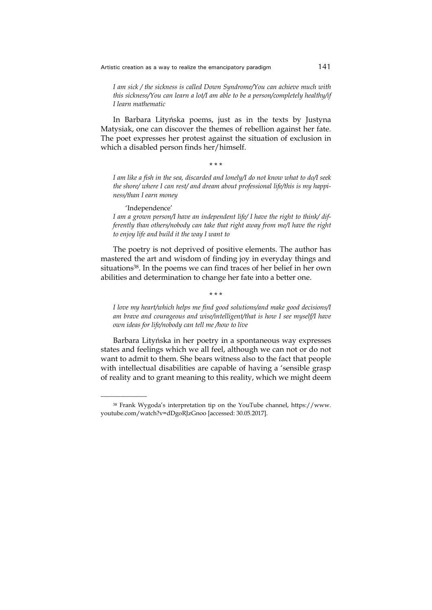*I am sick / the sickness is called Down Syndrome/You can achieve much with this sickness/You can learn a lot/I am able to be a person/completely healthy/if I learn mathematic* 

In Barbara Lityńska poems, just as in the texts by Justyna Matysiak, one can discover the themes of rebellion against her fate. The poet expresses her protest against the situation of exclusion in which a disabled person finds her/himself.

\* \* \*

*I am like a fish in the sea, discarded and lonely/I do not know what to do/I seek the shore/ where I can rest/ and dream about professional life/this is my happiness/than I earn money* 

'Independence'

\_\_\_\_\_\_\_\_\_\_\_\_\_\_\_\_

*I am a grown person/I have an independent life/ I have the right to think/ differently than others/nobody can take that right away from me/I have the right to enjoy life and build it the way I want to* 

The poetry is not deprived of positive elements. The author has mastered the art and wisdom of finding joy in everyday things and situations38. In the poems we can find traces of her belief in her own abilities and determination to change her fate into a better one.

\* \* \*

*I love my heart/which helps me find good solutions/and make good decisions/I am brave and courageous and wise/intelligent/that is how I see myself/I have own ideas for life/nobody can tell me /how to live* 

Barbara Lityńska in her poetry in a spontaneous way expresses states and feelings which we all feel, although we can not or do not want to admit to them. She bears witness also to the fact that people with intellectual disabilities are capable of having a 'sensible grasp of reality and to grant meaning to this reality, which we might deem

<sup>38</sup> Frank Wygoda's interpretation tip on the YouTube channel, https://www. youtube.com/watch?v=dDgoRJzGnoo [accessed: 30.05.2017].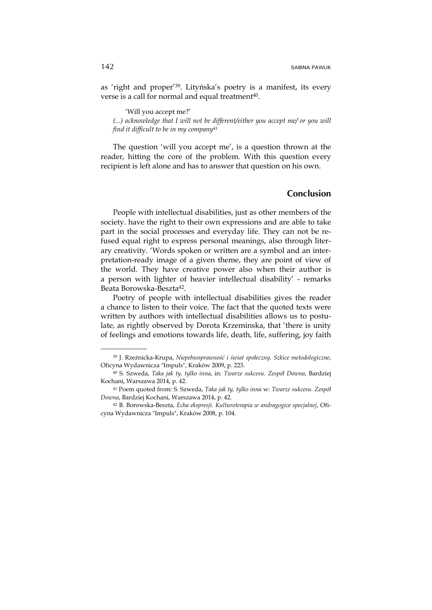as 'right and proper'39. Lityńska's poetry is a manifest, its every verse is a call for normal and equal treatment<sup>40</sup>.

'Will you accept me?' *(...) acknowledge that I will not be different/either you accept me/ or you will find it difficult to be in my company41*

The question 'will you accept me', is a question thrown at the reader, hitting the core of the problem. With this question every recipient is left alone and has to answer that question on his own.

### **Conclusion**

People with intellectual disabilities, just as other members of the society. have the right to their own expressions and are able to take part in the social processes and everyday life. They can not be refused equal right to express personal meanings, also through literary creativity. 'Words spoken or written are a symbol and an interpretation-ready image of a given theme, they are point of view of the world. They have creative power also when their author is a person with lighter of heavier intellectual disability' - remarks Beata Borowska-Beszta42.

Poetry of people with intellectual disabilities gives the reader a chance to listen to their voice. The fact that the quoted texts were written by authors with intellectual disabilities allows us to postulate, as rightly observed by Dorota Krzeminska, that 'there is unity of feelings and emotions towards life, death, life, suffering, joy faith

<sup>39</sup> J. Rzeźnicka-Krupa, *Niepełnosprawność i świat społeczny. Szkice metodologiczne*, Oficyna Wydawnicza "Impuls", Kraków 2009, p. 223.

<sup>40</sup> S. Szweda, *Taka jak ty, tylko inna*, in: *Twarze sukcesu. Zespół Downa*, Bardziej Kochani, Warszawa 2014, p. 42.

<sup>41</sup> Poem quoted from: S. Szweda, *Taka jak ty, tylko inna* w: *Twarze sukcesu. Zespół Downa*, Bardziej Kochani, Warszawa 2014, p. 42.

<sup>42</sup> B. Borowska-Beszta, *Echa ekspresji. Kulturoterapia w andragogice specjalnej*, Oficyna Wydawnicza "Impuls", Kraków 2008, p. 104.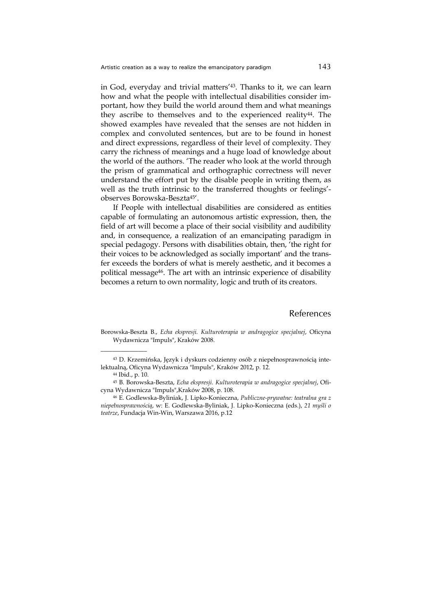in God, everyday and trivial matters'43. Thanks to it, we can learn how and what the people with intellectual disabilities consider important, how they build the world around them and what meanings they ascribe to themselves and to the experienced reality<sup>44</sup>. The showed examples have revealed that the senses are not hidden in complex and convoluted sentences, but are to be found in honest and direct expressions, regardless of their level of complexity. They carry the richness of meanings and a huge load of knowledge about the world of the authors. 'The reader who look at the world through the prism of grammatical and orthographic correctness will never understand the effort put by the disable people in writing them, as well as the truth intrinsic to the transferred thoughts or feelings' observes Borowska-Beszta45'.

If People with intellectual disabilities are considered as entities capable of formulating an autonomous artistic expression, then, the field of art will become a place of their social visibility and audibility and, in consequence, a realization of an emancipating paradigm in special pedagogy. Persons with disabilities obtain, then, 'the right for their voices to be acknowledged as socially important' and the transfer exceeds the borders of what is merely aesthetic, and it becomes a political message46. The art with an intrinsic experience of disability becomes a return to own normality, logic and truth of its creators.

#### References

Borowska-Beszta B., *Echa ekspresji. Kulturoterapia w andragogice specjalnej*, Oficyna Wydawnicza "Impuls", Kraków 2008.

<sup>43</sup> D. Krzemińska, Język i dyskurs codzienny osób z niepełnosprawnością intelektualną, Oficyna Wydawnicza "Impuls", Kraków 2012, p. 12.

<sup>44</sup> Ibid., p. 10.

<sup>45</sup> B. Borowska-Beszta, *Echa ekspresji. Kulturoterapia w andragogice specjalnej*, Oficyna Wydawnicza "Impuls",Kraków 2008, p. 108.

<sup>46</sup> E. Godlewska-Byliniak, J. Lipko-Konieczna, *Publiczne-prywatne: teatralna gra z niepełnosprawnością*, w: E. Godlewska-Byliniak, J. Lipko-Konieczna (eds.), *21 myśli o teatrze*, Fundacja Win-Win, Warszawa 2016, p.12